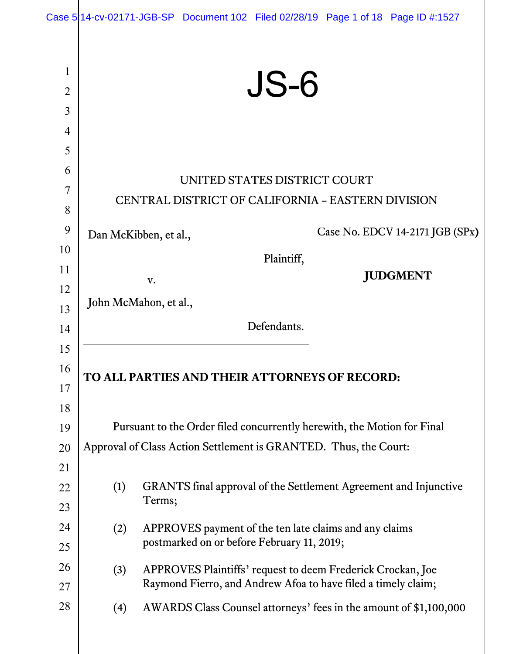|                                                                    |            | Case 514-cv-02171-JGB-SP Document 102 Filed 02/28/19 Page 1 of 18 Page ID #:1527                                                                                                                  |                                 |
|--------------------------------------------------------------------|------------|---------------------------------------------------------------------------------------------------------------------------------------------------------------------------------------------------|---------------------------------|
| $\mathbf{1}$<br>$\overline{2}$<br>$\overline{3}$<br>$\overline{4}$ |            | <b>JS-6</b>                                                                                                                                                                                       |                                 |
| 5<br>6<br>$\overline{7}$<br>8<br>9                                 |            | UNITED STATES DISTRICT COURT<br>CENTRAL DISTRICT OF CALIFORNIA - EASTERN DIVISION                                                                                                                 | Case No. EDCV 14-2171 JGB (SPx) |
| 10<br>11<br>12<br>13                                               |            | Dan McKibben, et al.,<br>Plaintiff,<br>V.<br>John McMahon, et al.,                                                                                                                                | <b>JUDGMENT</b>                 |
| 14<br>15                                                           |            | Defendants.                                                                                                                                                                                       |                                 |
| 16<br>17<br>18                                                     |            | TO ALL PARTIES AND THEIR ATTORNEYS OF RECORD:                                                                                                                                                     |                                 |
| 19<br>20<br>21                                                     |            | Pursuant to the Order filed concurrently herewith, the Motion for Final<br>Approval of Class Action Settlement is GRANTED. Thus, the Court:                                                       |                                 |
| 22<br>23                                                           | (1)        | GRANTS final approval of the Settlement Agreement and Injunctive<br>Terms;                                                                                                                        |                                 |
| 24<br>25                                                           | (2)        | APPROVES payment of the ten late claims and any claims<br>postmarked on or before February 11, 2019;                                                                                              |                                 |
| 26<br>27<br>28                                                     | (3)<br>(4) | APPROVES Plaintiffs' request to deem Frederick Crockan, Joe<br>Raymond Fierro, and Andrew Afoa to have filed a timely claim;<br>AWARDS Class Counsel attorneys' fees in the amount of \$1,100,000 |                                 |
|                                                                    |            |                                                                                                                                                                                                   |                                 |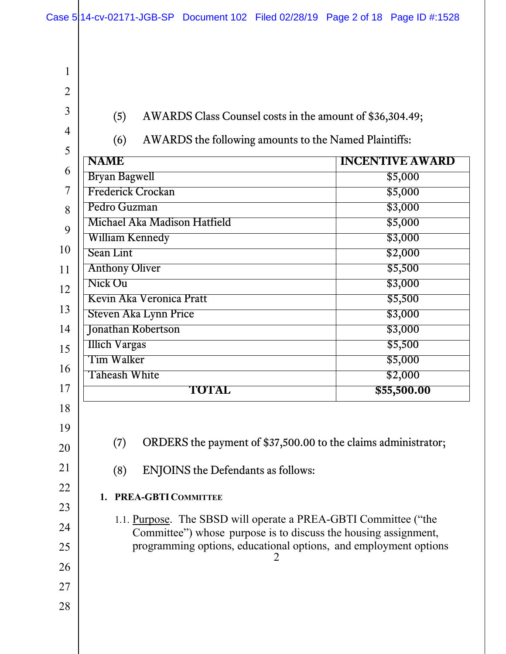2 1 2 3 4 5 6 7 8 9 10 11 12 13 14 15 16 17 18 19 20 21 22 23 24 25 26 27 28 (5) AWARDS Class Counsel costs in the amount of \$36,304.49; (6) AWARDS the following amounts to the Named Plaintiffs: **INCENTIVE AWARD** Bryan Bagwell  $$5,000$ Frederick Crockan \$5,000 Pedro Guzman  $$3,000$ Michael Aka Madison Hatfield \$5,000 William Kennedy **\$3,000** Sean Lint \$2,000 Anthony Oliver \$5,500  $Nick$  Ou  $$3,000$ Kevin Aka Veronica Pratt \$5,500 Steven Aka Lynn Price  $$3,000$ **Jonathan Robertson** \$3,000 Illich Vargas \$5,500 Tim Walker \$5,000 Taheash White  $$2,000$ **TOTAL \$55,500.00**  (7) ORDERS the payment of \$37,500.00 to the claims administrator; (8) ENJOINS the Defendants as follows: **1. PREA-GBTI COMMITTEE** 1.1. Purpose. The SBSD will operate a PREA-GBTI Committee ("the Committee") whose purpose is to discuss the housing assignment, programming options, educational options, and employment options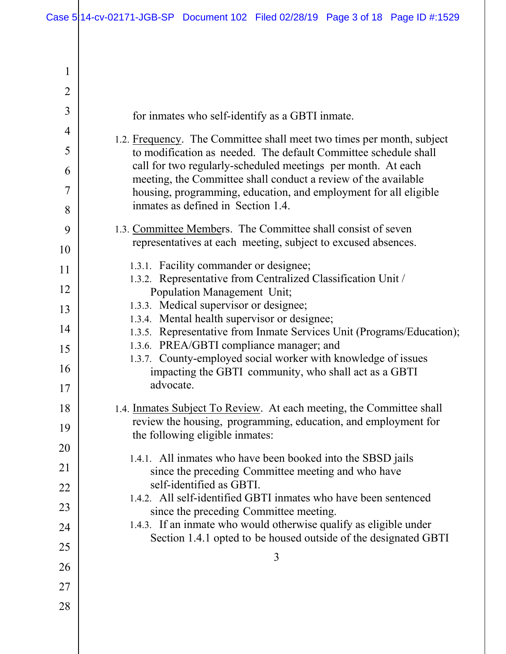| 1              |                                                                                                                                      |
|----------------|--------------------------------------------------------------------------------------------------------------------------------------|
| $\overline{2}$ |                                                                                                                                      |
| 3              | for inmates who self-identify as a GBTI inmate.                                                                                      |
| 4              | 1.2. Frequency. The Committee shall meet two times per month, subject                                                                |
| 5              | to modification as needed. The default Committee schedule shall<br>call for two regularly-scheduled meetings per month. At each      |
| 6<br>7         | meeting, the Committee shall conduct a review of the available                                                                       |
| 8              | housing, programming, education, and employment for all eligible<br>inmates as defined in Section 1.4.                               |
| 9              | 1.3. Committee Members. The Committee shall consist of seven                                                                         |
| 10             | representatives at each meeting, subject to excused absences.                                                                        |
| 11             | 1.3.1. Facility commander or designee;<br>1.3.2. Representative from Centralized Classification Unit /                               |
| 12             | Population Management Unit;                                                                                                          |
| 13             | 1.3.3. Medical supervisor or designee;<br>1.3.4. Mental health supervisor or designee;                                               |
| 14             | 1.3.5. Representative from Inmate Services Unit (Programs/Education);                                                                |
| 15             | 1.3.6. PREA/GBTI compliance manager; and<br>1.3.7. County-employed social worker with knowledge of issues                            |
| 16             | impacting the GBTI community, who shall act as a GBTI                                                                                |
| 17             | advocate.                                                                                                                            |
| 18             | 1.4. Inmates Subject To Review. At each meeting, the Committee shall                                                                 |
| 19             | review the housing, programming, education, and employment for<br>the following eligible inmates:                                    |
| 20             |                                                                                                                                      |
| 21             | 1.4.1. All inmates who have been booked into the SBSD jails<br>since the preceding Committee meeting and who have                    |
| 22             | self-identified as GBTI.<br>1.4.2. All self-identified GBTI inmates who have been sentenced                                          |
| 23             | since the preceding Committee meeting.                                                                                               |
| 24             | 1.4.3. If an inmate who would otherwise qualify as eligible under<br>Section 1.4.1 opted to be housed outside of the designated GBTI |
| 25             |                                                                                                                                      |
| 26             | 3                                                                                                                                    |
| 27             |                                                                                                                                      |
| 28             |                                                                                                                                      |
|                |                                                                                                                                      |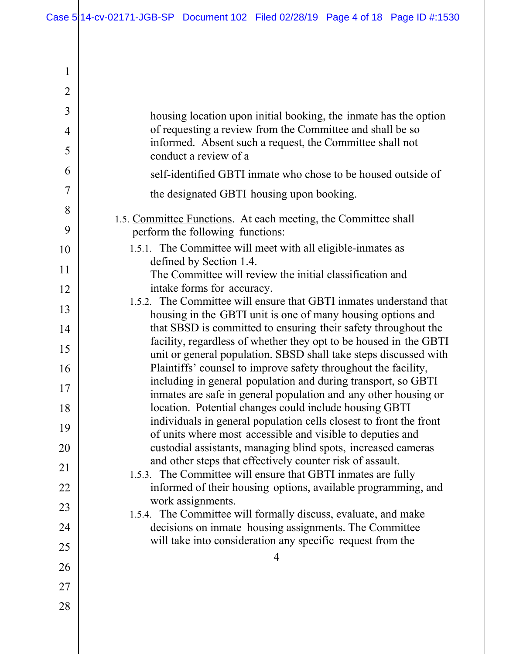| 1              |                                                                                                                                    |
|----------------|------------------------------------------------------------------------------------------------------------------------------------|
| $\overline{2}$ |                                                                                                                                    |
| 3              | housing location upon initial booking, the inmate has the option                                                                   |
| $\overline{4}$ | of requesting a review from the Committee and shall be so                                                                          |
| 5              | informed. Absent such a request, the Committee shall not<br>conduct a review of a                                                  |
| 6              | self-identified GBTI inmate who chose to be housed outside of                                                                      |
| 7              | the designated GBTI housing upon booking.                                                                                          |
| 8              | 1.5. Committee Functions. At each meeting, the Committee shall                                                                     |
| 9              | perform the following functions:                                                                                                   |
| 10             | 1.5.1. The Committee will meet with all eligible-inmates as                                                                        |
| 11             | defined by Section 1.4.<br>The Committee will review the initial classification and                                                |
| 12             | intake forms for accuracy.                                                                                                         |
| 13             | 1.5.2. The Committee will ensure that GBTI inmates understand that<br>housing in the GBTI unit is one of many housing options and  |
| 14             | that SBSD is committed to ensuring their safety throughout the                                                                     |
| 15             | facility, regardless of whether they opt to be housed in the GBTI                                                                  |
| 16             | unit or general population. SBSD shall take steps discussed with<br>Plaintiffs' counsel to improve safety throughout the facility, |
| 17             | including in general population and during transport, so GBTI<br>inmates are safe in general population and any other housing or   |
| 18             | location. Potential changes could include housing GBTI                                                                             |
| 19             | individuals in general population cells closest to front the front<br>of units where most accessible and visible to deputies and   |
| 20             | custodial assistants, managing blind spots, increased cameras                                                                      |
| 21             | and other steps that effectively counter risk of assault.<br>1.5.3. The Committee will ensure that GBTI inmates are fully          |
| 22             | informed of their housing options, available programming, and                                                                      |
| 23             | work assignments.                                                                                                                  |
| 24             | 1.5.4. The Committee will formally discuss, evaluate, and make<br>decisions on inmate housing assignments. The Committee           |
| 25             | will take into consideration any specific request from the                                                                         |
| 26             | 4                                                                                                                                  |
| 27             |                                                                                                                                    |
| 28             |                                                                                                                                    |
|                |                                                                                                                                    |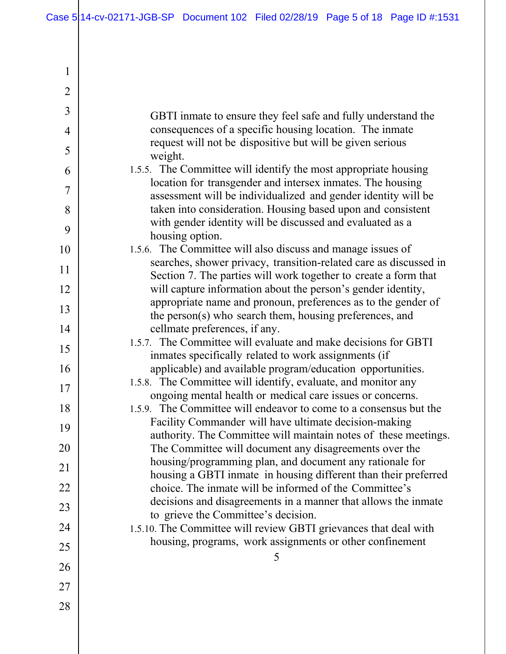| 1              |                                                                                                                                      |
|----------------|--------------------------------------------------------------------------------------------------------------------------------------|
| $\overline{2}$ |                                                                                                                                      |
| 3              | GBTI inmate to ensure they feel safe and fully understand the                                                                        |
| $\overline{4}$ | consequences of a specific housing location. The inmate                                                                              |
| 5              | request will not be dispositive but will be given serious<br>weight.                                                                 |
| 6              | 1.5.5. The Committee will identify the most appropriate housing                                                                      |
| 7              | location for transgender and intersex inmates. The housing<br>assessment will be individualized and gender identity will be          |
| 8              | taken into consideration. Housing based upon and consistent                                                                          |
| 9              | with gender identity will be discussed and evaluated as a<br>housing option.                                                         |
| 10             | 1.5.6. The Committee will also discuss and manage issues of                                                                          |
| 11             | searches, shower privacy, transition-related care as discussed in<br>Section 7. The parties will work together to create a form that |
| 12             | will capture information about the person's gender identity,                                                                         |
| 13             | appropriate name and pronoun, preferences as to the gender of<br>the person(s) who search them, housing preferences, and             |
| 14             | cellmate preferences, if any.                                                                                                        |
| 15             | 1.5.7. The Committee will evaluate and make decisions for GBTI<br>inmates specifically related to work assignments (if               |
| 16             | applicable) and available program/education opportunities.                                                                           |
| 17             | 1.5.8. The Committee will identify, evaluate, and monitor any<br>ongoing mental health or medical care issues or concerns.           |
| 18             | 1.5.9. The Committee will endeavor to come to a consensus but the                                                                    |
| 19             | Facility Commander will have ultimate decision-making                                                                                |
| 20             | authority. The Committee will maintain notes of these meetings.<br>The Committee will document any disagreements over the            |
| 21             | housing/programming plan, and document any rationale for                                                                             |
| 22             | housing a GBTI inmate in housing different than their preferred<br>choice. The inmate will be informed of the Committee's            |
| 23             | decisions and disagreements in a manner that allows the inmate                                                                       |
| 24             | to grieve the Committee's decision.<br>1.5.10. The Committee will review GBTI grievances that deal with                              |
|                | housing, programs, work assignments or other confinement                                                                             |
| 25             | 5                                                                                                                                    |
| 26             |                                                                                                                                      |
| 27             |                                                                                                                                      |
| 28             |                                                                                                                                      |
|                |                                                                                                                                      |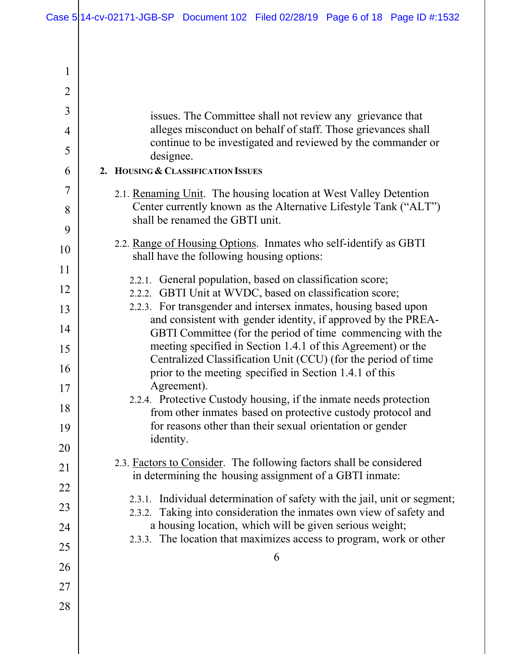| 1              |                                                                                                                                                  |
|----------------|--------------------------------------------------------------------------------------------------------------------------------------------------|
| $\overline{2}$ |                                                                                                                                                  |
| 3              | issues. The Committee shall not review any grievance that                                                                                        |
| $\overline{4}$ | alleges misconduct on behalf of staff. Those grievances shall                                                                                    |
| 5              | continue to be investigated and reviewed by the commander or<br>designee.                                                                        |
| 6              | 2. HOUSING & CLASSIFICATION ISSUES                                                                                                               |
| 7              | 2.1. Renaming Unit. The housing location at West Valley Detention                                                                                |
| 8              | Center currently known as the Alternative Lifestyle Tank ("ALT")<br>shall be renamed the GBTI unit.                                              |
| 9              |                                                                                                                                                  |
| 10             | 2.2. Range of Housing Options. Inmates who self-identify as GBTI<br>shall have the following housing options:                                    |
| 11             | 2.2.1. General population, based on classification score;                                                                                        |
| 12             | 2.2.2. GBTI Unit at WVDC, based on classification score;                                                                                         |
| 13             | 2.2.3. For transgender and intersex inmates, housing based upon<br>and consistent with gender identity, if approved by the PREA-                 |
| 14             | GBTI Committee (for the period of time commencing with the                                                                                       |
| 15             | meeting specified in Section 1.4.1 of this Agreement) or the<br>Centralized Classification Unit (CCU) (for the period of time                    |
| 16             | prior to the meeting specified in Section 1.4.1 of this                                                                                          |
| 17             | Agreement).                                                                                                                                      |
| 18             | 2.2.4. Protective Custody housing, if the inmate needs protection<br>from other inmates based on protective custody protocol and                 |
| 19             | for reasons other than their sexual orientation or gender                                                                                        |
| 20             | identity.                                                                                                                                        |
| 21             | 2.3. Factors to Consider. The following factors shall be considered<br>in determining the housing assignment of a GBTI inmate:                   |
| 22             |                                                                                                                                                  |
| 23             | 2.3.1. Individual determination of safety with the jail, unit or segment;<br>2.3.2. Taking into consideration the inmates own view of safety and |
| 24             | a housing location, which will be given serious weight;                                                                                          |
| 25             | 2.3.3. The location that maximizes access to program, work or other                                                                              |
| 26             | 6                                                                                                                                                |
| 27             |                                                                                                                                                  |
| 28             |                                                                                                                                                  |
|                |                                                                                                                                                  |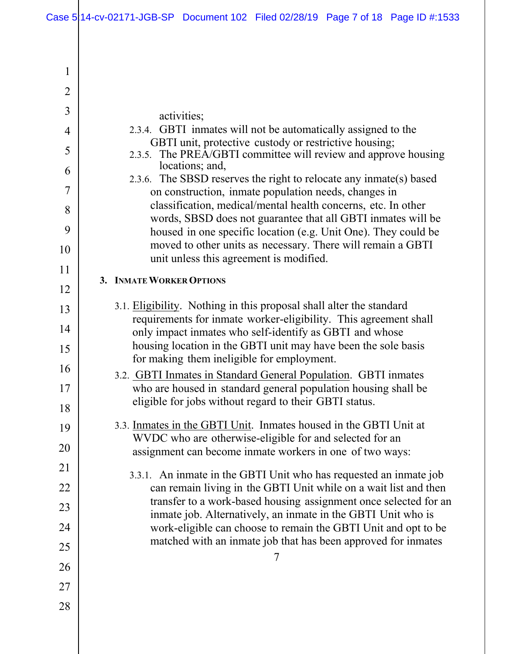| 1              |                                                                                                                                                                                               |
|----------------|-----------------------------------------------------------------------------------------------------------------------------------------------------------------------------------------------|
| $\overline{2}$ |                                                                                                                                                                                               |
| 3              | activities;                                                                                                                                                                                   |
| $\overline{4}$ | 2.3.4. GBTI inmates will not be automatically assigned to the                                                                                                                                 |
| 5              | GBTI unit, protective custody or restrictive housing;<br>2.3.5. The PREA/GBTI committee will review and approve housing                                                                       |
| 6              | locations; and,                                                                                                                                                                               |
| 7              | 2.3.6. The SBSD reserves the right to relocate any inmate(s) based<br>on construction, inmate population needs, changes in                                                                    |
| 8              | classification, medical/mental health concerns, etc. In other                                                                                                                                 |
| 9              | words, SBSD does not guarantee that all GBTI inmates will be<br>housed in one specific location (e.g. Unit One). They could be<br>moved to other units as necessary. There will remain a GBTI |
| 10             | unit unless this agreement is modified.                                                                                                                                                       |
| 11             | 3. INMATE WORKER OPTIONS                                                                                                                                                                      |
| 12             |                                                                                                                                                                                               |
| 13             | 3.1. Eligibility. Nothing in this proposal shall alter the standard<br>requirements for inmate worker-eligibility. This agreement shall                                                       |
| 14             | only impact inmates who self-identify as GBTI and whose                                                                                                                                       |
| 15             | housing location in the GBTI unit may have been the sole basis<br>for making them ineligible for employment.                                                                                  |
| 16             | 3.2. GBTI Inmates in Standard General Population. GBTI inmates                                                                                                                                |
| 17             | who are housed in standard general population housing shall be                                                                                                                                |
| 18             | eligible for jobs without regard to their GBTI status.                                                                                                                                        |
| 19             | 3.3. Inmates in the GBTI Unit. Inmates housed in the GBTI Unit at                                                                                                                             |
| 20             | WVDC who are otherwise-eligible for and selected for an<br>assignment can become inmate workers in one of two ways:                                                                           |
| 21             | 3.3.1. An inmate in the GBTI Unit who has requested an inmate job                                                                                                                             |
| 22             | can remain living in the GBTI Unit while on a wait list and then                                                                                                                              |
| 23             | transfer to a work-based housing assignment once selected for an<br>inmate job. Alternatively, an inmate in the GBTI Unit who is                                                              |
| 24             | work-eligible can choose to remain the GBTI Unit and opt to be                                                                                                                                |
| 25             | matched with an inmate job that has been approved for inmates                                                                                                                                 |
| 26             | 7                                                                                                                                                                                             |
| 27             |                                                                                                                                                                                               |
| 28             |                                                                                                                                                                                               |
|                |                                                                                                                                                                                               |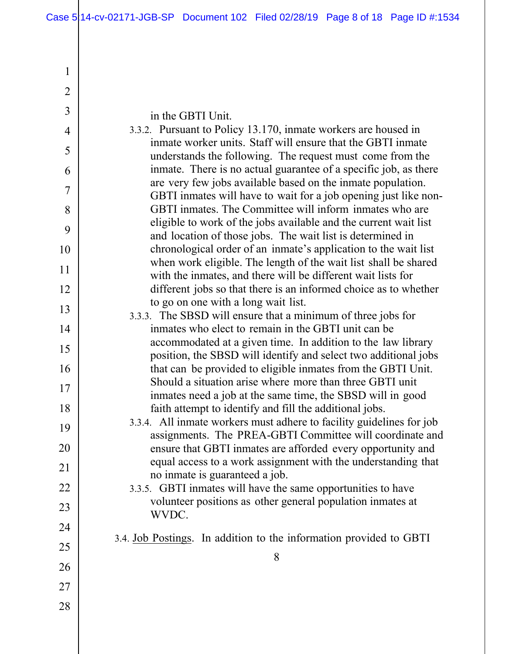| 1              |                                                                                                                                 |
|----------------|---------------------------------------------------------------------------------------------------------------------------------|
| $\overline{2}$ |                                                                                                                                 |
| 3              | in the GBTI Unit.                                                                                                               |
| $\overline{4}$ | 3.3.2. Pursuant to Policy 13.170, inmate workers are housed in                                                                  |
| 5              | inmate worker units. Staff will ensure that the GBTI inmate<br>understands the following. The request must come from the        |
| 6              | inmate. There is no actual guarantee of a specific job, as there                                                                |
| 7              | are very few jobs available based on the inmate population.<br>GBTI inmates will have to wait for a job opening just like non-  |
| 8              | GBTI inmates. The Committee will inform inmates who are                                                                         |
| 9              | eligible to work of the jobs available and the current wait list<br>and location of those jobs. The wait list is determined in  |
| 10             | chronological order of an inmate's application to the wait list                                                                 |
| 11             | when work eligible. The length of the wait list shall be shared<br>with the inmates, and there will be different wait lists for |
| 12             | different jobs so that there is an informed choice as to whether                                                                |
| 13             | to go on one with a long wait list.<br>3.3.3. The SBSD will ensure that a minimum of three jobs for                             |
| 14             | inmates who elect to remain in the GBTI unit can be                                                                             |
| 15             | accommodated at a given time. In addition to the law library                                                                    |
| 16             | position, the SBSD will identify and select two additional jobs<br>that can be provided to eligible inmates from the GBTI Unit. |
| 17             | Should a situation arise where more than three GBTI unit                                                                        |
| 18             | inmates need a job at the same time, the SBSD will in good<br>faith attempt to identify and fill the additional jobs.           |
| 19             | 3.3.4. All inmate workers must adhere to facility guidelines for job                                                            |
| 20             | assignments. The PREA-GBTI Committee will coordinate and<br>ensure that GBTI inmates are afforded every opportunity and         |
| 21             | equal access to a work assignment with the understanding that                                                                   |
| 22             | no inmate is guaranteed a job.<br>3.3.5. GBTI inmates will have the same opportunities to have                                  |
| 23             | volunteer positions as other general population inmates at                                                                      |
| 24             | WVDC.                                                                                                                           |
| 25             | 3.4. Job Postings. In addition to the information provided to GBTI                                                              |
| 26             | 8                                                                                                                               |
| 27             |                                                                                                                                 |
| 28             |                                                                                                                                 |
|                |                                                                                                                                 |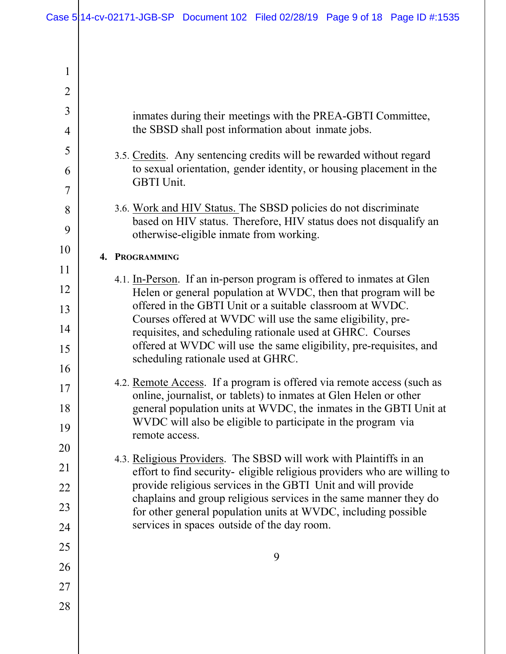| 1              |                                                                                                                                                                                 |
|----------------|---------------------------------------------------------------------------------------------------------------------------------------------------------------------------------|
| $\overline{2}$ |                                                                                                                                                                                 |
| 3              | inmates during their meetings with the PREA-GBTI Committee,                                                                                                                     |
| $\overline{4}$ | the SBSD shall post information about inmate jobs.                                                                                                                              |
| 5              | 3.5. Credits. Any sentencing credits will be rewarded without regard                                                                                                            |
| 6              | to sexual orientation, gender identity, or housing placement in the<br>GBTI Unit.                                                                                               |
| 7              |                                                                                                                                                                                 |
| 8<br>9         | 3.6. Work and HIV Status. The SBSD policies do not discriminate<br>based on HIV status. Therefore, HIV status does not disqualify an<br>otherwise-eligible inmate from working. |
| 10             | 4. PROGRAMMING                                                                                                                                                                  |
| 11             |                                                                                                                                                                                 |
| 12             | 4.1. In-Person. If an in-person program is offered to inmates at Glen<br>Helen or general population at WVDC, then that program will be                                         |
| 13             | offered in the GBTI Unit or a suitable classroom at WVDC.<br>Courses offered at WVDC will use the same eligibility, pre-                                                        |
| 14             | requisites, and scheduling rationale used at GHRC. Courses                                                                                                                      |
| 15<br>16       | offered at WVDC will use the same eligibility, pre-requisites, and<br>scheduling rationale used at GHRC.                                                                        |
| 17             | 4.2. Remote Access. If a program is offered via remote access (such as                                                                                                          |
| 18             | online, journalist, or tablets) to inmates at Glen Helen or other<br>general population units at WVDC, the inmates in the GBTI Unit at                                          |
| 19             | WVDC will also be eligible to participate in the program via                                                                                                                    |
| 20             | remote access.                                                                                                                                                                  |
| 21             | 4.3. Religious Providers. The SBSD will work with Plaintiffs in an<br>effort to find security-eligible religious providers who are willing to                                   |
| 22             | provide religious services in the GBTI Unit and will provide                                                                                                                    |
| 23             | chaplains and group religious services in the same manner they do<br>for other general population units at WVDC, including possible                                             |
| 24             | services in spaces outside of the day room.                                                                                                                                     |
| 25             | 9                                                                                                                                                                               |
| 26             |                                                                                                                                                                                 |
| 27             |                                                                                                                                                                                 |
| 28             |                                                                                                                                                                                 |
|                |                                                                                                                                                                                 |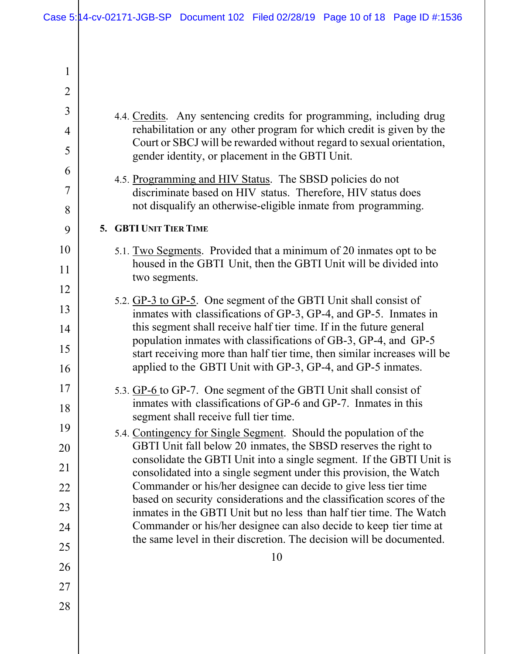| $\mathbf{1}$   |                                                                                                                                              |
|----------------|----------------------------------------------------------------------------------------------------------------------------------------------|
| $\overline{2}$ |                                                                                                                                              |
| 3              | 4.4. Credits. Any sentencing credits for programming, including drug                                                                         |
| $\overline{4}$ | rehabilitation or any other program for which credit is given by the                                                                         |
| 5              | Court or SBCJ will be rewarded without regard to sexual orientation,<br>gender identity, or placement in the GBTI Unit.                      |
| 6              | 4.5. Programming and HIV Status. The SBSD policies do not                                                                                    |
| 7              | discriminate based on HIV status. Therefore, HIV status does                                                                                 |
| 8              | not disqualify an otherwise-eligible inmate from programming.                                                                                |
| 9              | 5. GBTI UNIT TIER TIME                                                                                                                       |
| 10             | 5.1. Two Segments. Provided that a minimum of 20 inmates opt to be<br>housed in the GBTI Unit, then the GBTI Unit will be divided into       |
| 11             | two segments.                                                                                                                                |
| 12             | 5.2. GP-3 to GP-5. One segment of the GBTI Unit shall consist of                                                                             |
| 13             | inmates with classifications of GP-3, GP-4, and GP-5. Inmates in                                                                             |
| 14             | this segment shall receive half tier time. If in the future general<br>population inmates with classifications of GB-3, GP-4, and GP-5       |
| 15<br>16       | start receiving more than half tier time, then similar increases will be<br>applied to the GBTI Unit with GP-3, GP-4, and GP-5 inmates.      |
| 17             | 5.3. GP-6 to GP-7. One segment of the GBTI Unit shall consist of                                                                             |
| 18             | inmates with classifications of GP-6 and GP-7. Inmates in this                                                                               |
| 19             | segment shall receive full tier time.<br>5.4. Contingency for Single Segment. Should the population of the                                   |
| 20             | GBTI Unit fall below 20 inmates, the SBSD reserves the right to                                                                              |
| 21             | consolidate the GBTI Unit into a single segment. If the GBTI Unit is<br>consolidated into a single segment under this provision, the Watch   |
| 22             | Commander or his/her designee can decide to give less tier time                                                                              |
| 23             | based on security considerations and the classification scores of the<br>inmates in the GBTI Unit but no less than half tier time. The Watch |
| 24             | Commander or his/her designee can also decide to keep tier time at                                                                           |
| 25             | the same level in their discretion. The decision will be documented.                                                                         |
| 26             | 10                                                                                                                                           |
| 27             |                                                                                                                                              |
| 28             |                                                                                                                                              |
|                |                                                                                                                                              |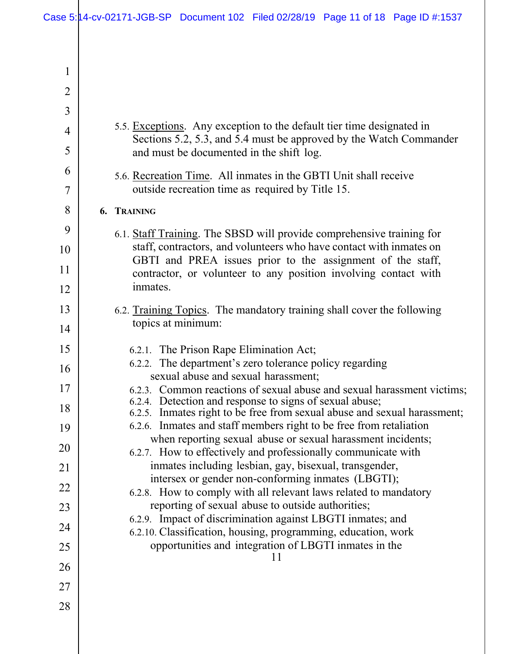| 1              |                                                                                                                                                |
|----------------|------------------------------------------------------------------------------------------------------------------------------------------------|
| $\overline{2}$ |                                                                                                                                                |
| 3              |                                                                                                                                                |
| 4              | 5.5. Exceptions. Any exception to the default tier time designated in                                                                          |
| 5              | Sections 5.2, 5.3, and 5.4 must be approved by the Watch Commander<br>and must be documented in the shift log.                                 |
| 6              | 5.6. Recreation Time. All inmates in the GBTI Unit shall receive                                                                               |
| 7              | outside recreation time as required by Title 15.                                                                                               |
| 8              | 6. TRAINING                                                                                                                                    |
| 9              | 6.1. Staff Training. The SBSD will provide comprehensive training for                                                                          |
| 10             | staff, contractors, and volunteers who have contact with inmates on<br>GBTI and PREA issues prior to the assignment of the staff,              |
| 11             | contractor, or volunteer to any position involving contact with                                                                                |
| 12             | inmates.                                                                                                                                       |
| 13             | 6.2. Training Topics. The mandatory training shall cover the following                                                                         |
| 14             | topics at minimum:                                                                                                                             |
|                |                                                                                                                                                |
| 15             | 6.2.1. The Prison Rape Elimination Act;                                                                                                        |
| 16             | 6.2.2. The department's zero tolerance policy regarding                                                                                        |
| 17             | sexual abuse and sexual harassment;<br>6.2.3. Common reactions of sexual abuse and sexual harassment victims;                                  |
| 18             | 6.2.4. Detection and response to signs of sexual abuse;                                                                                        |
| 19             | 6.2.5. Inmates right to be free from sexual abuse and sexual harassment;<br>6.2.6. Inmates and staff members right to be free from retaliation |
| 20             | when reporting sexual abuse or sexual harassment incidents;                                                                                    |
| 21             | 6.2.7. How to effectively and professionally communicate with<br>inmates including lesbian, gay, bisexual, transgender,                        |
| 22             | intersex or gender non-conforming inmates (LBGTI);                                                                                             |
| 23             | 6.2.8. How to comply with all relevant laws related to mandatory<br>reporting of sexual abuse to outside authorities;                          |
|                | 6.2.9. Impact of discrimination against LBGTI inmates; and                                                                                     |
| 24             | 6.2.10. Classification, housing, programming, education, work<br>opportunities and integration of LBGTI inmates in the                         |
| 25             | 11                                                                                                                                             |
| 26             |                                                                                                                                                |
| 27<br>28       |                                                                                                                                                |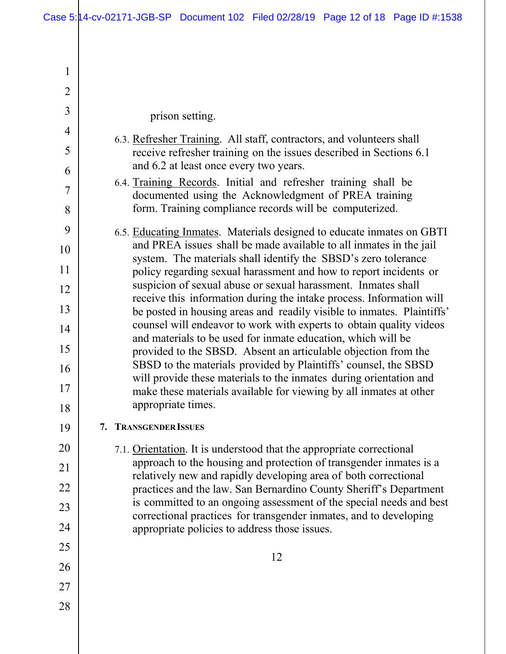| 1              |                                                                                                                                            |
|----------------|--------------------------------------------------------------------------------------------------------------------------------------------|
| $\overline{2}$ |                                                                                                                                            |
| 3              | prison setting.                                                                                                                            |
| 4              | 6.3. Refresher Training. All staff, contractors, and volunteers shall                                                                      |
| 5              | receive refresher training on the issues described in Sections 6.1                                                                         |
| 6              | and 6.2 at least once every two years.                                                                                                     |
| 7              | 6.4. Training Records. Initial and refresher training shall be<br>documented using the Acknowledgment of PREA training                     |
| 8              | form. Training compliance records will be computerized.                                                                                    |
| 9              | 6.5. Educating Inmates. Materials designed to educate inmates on GBTI                                                                      |
| 10             | and PREA issues shall be made available to all inmates in the jail<br>system. The materials shall identify the SBSD's zero tolerance       |
| 11             | policy regarding sexual harassment and how to report incidents or                                                                          |
| 12             | suspicion of sexual abuse or sexual harassment. Inmates shall<br>receive this information during the intake process. Information will      |
| 13             | be posted in housing areas and readily visible to inmates. Plaintiffs'                                                                     |
| 14             | counsel will endeavor to work with experts to obtain quality videos<br>and materials to be used for inmate education, which will be        |
| 15             | provided to the SBSD. Absent an articulable objection from the                                                                             |
| 16             | SBSD to the materials provided by Plaintiffs' counsel, the SBSD<br>will provide these materials to the inmates during orientation and      |
| 17             | make these materials available for viewing by all inmates at other<br>appropriate times.                                                   |
| 18             |                                                                                                                                            |
| 19             | 7. TRANSGENDER ISSUES                                                                                                                      |
| 20             | 7.1. Orientation. It is understood that the appropriate correctional<br>approach to the housing and protection of transgender inmates is a |
| 21             | relatively new and rapidly developing area of both correctional                                                                            |
| 22             | practices and the law. San Bernardino County Sheriff's Department                                                                          |
| 23             | is committed to an ongoing assessment of the special needs and best<br>correctional practices for transgender inmates, and to developing   |
| 24             | appropriate policies to address those issues.                                                                                              |
| 25             | 12                                                                                                                                         |
| 26             |                                                                                                                                            |
| 27             |                                                                                                                                            |
| 28             |                                                                                                                                            |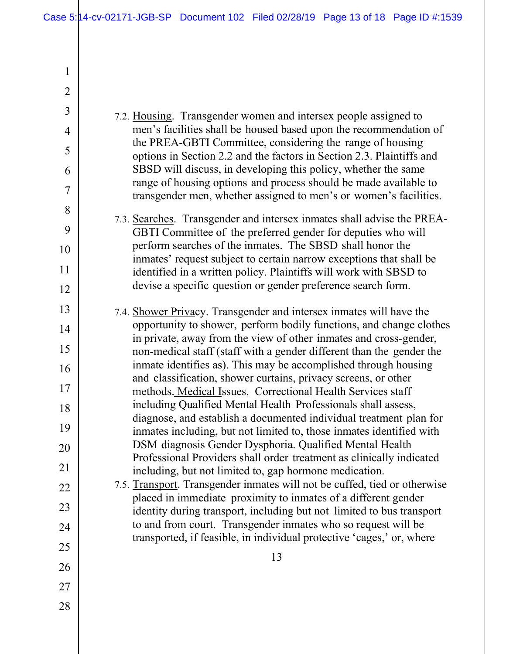1

 13 2 3 4 5 6 7 8 9 10 11 12 13 14 15 16 17 18 19 20 21 22 23 24 25 26 27 28 7.2. Housing. Transgender women and intersex people assigned to men's facilities shall be housed based upon the recommendation of the PREA-GBTI Committee, considering the range of housing options in Section 2.2 and the factors in Section 2.3. Plaintiffs and SBSD will discuss, in developing this policy, whether the same range of housing options and process should be made available to transgender men, whether assigned to men's or women's facilities. 7.3. Searches. Transgender and intersex inmates shall advise the PREA-GBTI Committee of the preferred gender for deputies who will perform searches of the inmates. The SBSD shall honor the inmates' request subject to certain narrow exceptions that shall be identified in a written policy. Plaintiffs will work with SBSD to devise a specific question or gender preference search form. 7.4. Shower Privacy. Transgender and intersex inmates will have the opportunity to shower, perform bodily functions, and change clothes in private, away from the view of other inmates and cross-gender, non-medical staff (staff with a gender different than the gender the inmate identifies as). This may be accomplished through housing and classification, shower curtains, privacy screens, or other methods. Medical Issues. Correctional Health Services staff including Qualified Mental Health Professionals shall assess, diagnose, and establish a documented individual treatment plan for inmates including, but not limited to, those inmates identified with DSM diagnosis Gender Dysphoria. Qualified Mental Health Professional Providers shall order treatment as clinically indicated including, but not limited to, gap hormone medication. 7.5. Transport. Transgender inmates will not be cuffed, tied or otherwise placed in immediate proximity to inmates of a different gender identity during transport, including but not limited to bus transport to and from court. Transgender inmates who so request will be transported, if feasible, in individual protective 'cages,' or, where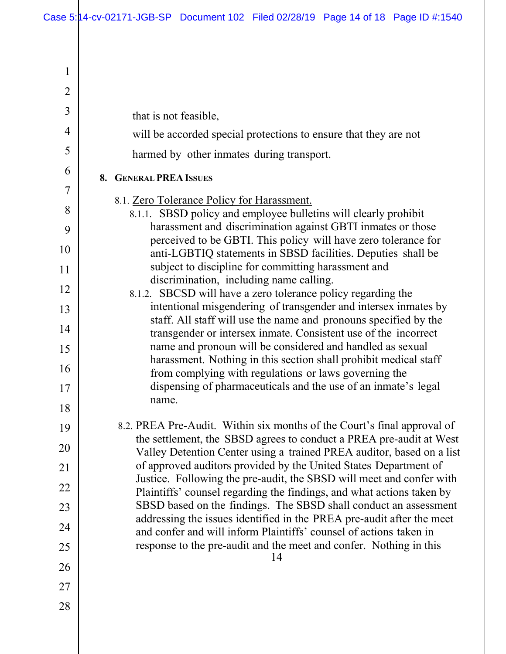| 1              |                                                                                                                                               |
|----------------|-----------------------------------------------------------------------------------------------------------------------------------------------|
| $\overline{2}$ |                                                                                                                                               |
| 3              | that is not feasible,                                                                                                                         |
| 4              | will be accorded special protections to ensure that they are not                                                                              |
| 5              | harmed by other inmates during transport.                                                                                                     |
| 6              | <b>8. GENERAL PREA ISSUES</b>                                                                                                                 |
| 7              | 8.1. Zero Tolerance Policy for Harassment.                                                                                                    |
| 8              | 8.1.1. SBSD policy and employee bulletins will clearly prohibit                                                                               |
| 9              | harassment and discrimination against GBTI inmates or those<br>perceived to be GBTI. This policy will have zero tolerance for                 |
| 10             | anti-LGBTIQ statements in SBSD facilities. Deputies shall be                                                                                  |
| 11             | subject to discipline for committing harassment and<br>discrimination, including name calling.                                                |
| 12             | 8.1.2. SBCSD will have a zero tolerance policy regarding the                                                                                  |
| 13             | intentional misgendering of transgender and intersex inmates by<br>staff. All staff will use the name and pronouns specified by the           |
| 14             | transgender or intersex inmate. Consistent use of the incorrect                                                                               |
| 15             | name and pronoun will be considered and handled as sexual                                                                                     |
| 16             | harassment. Nothing in this section shall prohibit medical staff<br>from complying with regulations or laws governing the                     |
| 17             | dispensing of pharmaceuticals and the use of an inmate's legal                                                                                |
| 18             | name.                                                                                                                                         |
| 19             | 8.2. PREA Pre-Audit. Within six months of the Court's final approval of                                                                       |
| 20             | the settlement, the SBSD agrees to conduct a PREA pre-audit at West<br>Valley Detention Center using a trained PREA auditor, based on a list  |
| 21             | of approved auditors provided by the United States Department of                                                                              |
| 22             | Justice. Following the pre-audit, the SBSD will meet and confer with<br>Plaintiffs' counsel regarding the findings, and what actions taken by |
| 23             | SBSD based on the findings. The SBSD shall conduct an assessment                                                                              |
| 24             | addressing the issues identified in the PREA pre-audit after the meet<br>and confer and will inform Plaintiffs' counsel of actions taken in   |
| 25             | response to the pre-audit and the meet and confer. Nothing in this                                                                            |
| 26             | 14                                                                                                                                            |
| 27             |                                                                                                                                               |
| 28             |                                                                                                                                               |
|                |                                                                                                                                               |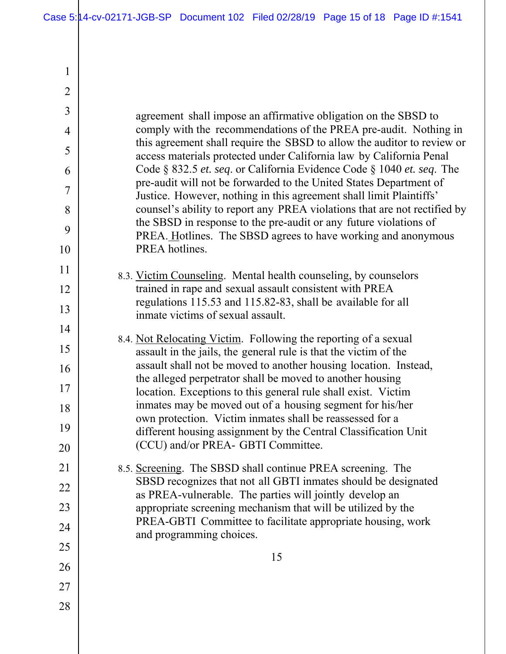1

| $\overline{2}$ |                                                                                                                                              |
|----------------|----------------------------------------------------------------------------------------------------------------------------------------------|
| 3              |                                                                                                                                              |
| 4              | agreement shall impose an affirmative obligation on the SBSD to<br>comply with the recommendations of the PREA pre-audit. Nothing in         |
| 5              | this agreement shall require the SBSD to allow the auditor to review or                                                                      |
| 6              | access materials protected under California law by California Penal<br>Code § 832.5 et. seq. or California Evidence Code § 1040 et. seq. The |
| 7              | pre-audit will not be forwarded to the United States Department of<br>Justice. However, nothing in this agreement shall limit Plaintiffs'    |
| 8              | counsel's ability to report any PREA violations that are not rectified by                                                                    |
| 9              | the SBSD in response to the pre-audit or any future violations of<br>PREA. Hotlines. The SBSD agrees to have working and anonymous           |
| 10             | PREA hotlines.                                                                                                                               |
| 11             | 8.3. Victim Counseling. Mental health counseling, by counselors                                                                              |
| 12             | trained in rape and sexual assault consistent with PREA                                                                                      |
| 13             | regulations 115.53 and 115.82-83, shall be available for all<br>inmate victims of sexual assault.                                            |
| 14             |                                                                                                                                              |
| 15             | 8.4. Not Relocating Victim. Following the reporting of a sexual<br>assault in the jails, the general rule is that the victim of the          |
| 16             | assault shall not be moved to another housing location. Instead,                                                                             |
| 17             | the alleged perpetrator shall be moved to another housing<br>location. Exceptions to this general rule shall exist. Victim                   |
| 18             | inmates may be moved out of a housing segment for his/her                                                                                    |
| 19             | own protection. Victim inmates shall be reassessed for a<br>different housing assignment by the Central Classification Unit                  |
| 20             | (CCU) and/or PREA- GBTI Committee.                                                                                                           |
| 21             | 8.5. Screening. The SBSD shall continue PREA screening. The                                                                                  |
| 22             | SBSD recognizes that not all GBTI inmates should be designated                                                                               |
| 23             | as PREA-vulnerable. The parties will jointly develop an<br>appropriate screening mechanism that will be utilized by the                      |
| 24             | PREA-GBTI Committee to facilitate appropriate housing, work                                                                                  |
| 25             | and programming choices.                                                                                                                     |
| 26             | 15                                                                                                                                           |
| 27             |                                                                                                                                              |
| 28             |                                                                                                                                              |
|                |                                                                                                                                              |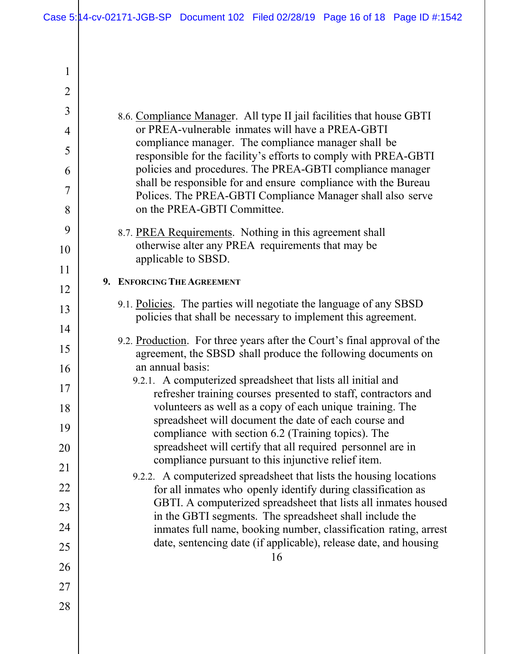1

| $\overline{2}$ |                                                                                                                                          |
|----------------|------------------------------------------------------------------------------------------------------------------------------------------|
| 3              | 8.6. Compliance Manager. All type II jail facilities that house GBTI                                                                     |
| 4              | or PREA-vulnerable inmates will have a PREA-GBTI                                                                                         |
| 5              | compliance manager. The compliance manager shall be<br>responsible for the facility's efforts to comply with PREA-GBTI                   |
| 6              | policies and procedures. The PREA-GBTI compliance manager                                                                                |
| 7              | shall be responsible for and ensure compliance with the Bureau<br>Polices. The PREA-GBTI Compliance Manager shall also serve             |
| 8              | on the PREA-GBTI Committee.                                                                                                              |
| 9              | 8.7. PREA Requirements. Nothing in this agreement shall                                                                                  |
| 10             | otherwise alter any PREA requirements that may be<br>applicable to SBSD.                                                                 |
| 11             | 9. ENFORCING THE AGREEMENT                                                                                                               |
| 12             |                                                                                                                                          |
| 13             | 9.1. Policies. The parties will negotiate the language of any SBSD<br>policies that shall be necessary to implement this agreement.      |
| 14             |                                                                                                                                          |
| 15             | 9.2. Production. For three years after the Court's final approval of the<br>agreement, the SBSD shall produce the following documents on |
| 16             | an annual basis:                                                                                                                         |
| 17             | 9.2.1. A computerized spreadsheet that lists all initial and<br>refresher training courses presented to staff, contractors and           |
| 18             | volunteers as well as a copy of each unique training. The                                                                                |
| 19             | spreadsheet will document the date of each course and<br>compliance with section 6.2 (Training topics). The                              |
| 20             | spreadsheet will certify that all required personnel are in<br>compliance pursuant to this injunctive relief item.                       |
| 21             | 9.2.2. A computerized spreadsheet that lists the housing locations                                                                       |
| 22             | for all inmates who openly identify during classification as                                                                             |
| 23             | GBTI. A computerized spreadsheet that lists all inmates housed<br>in the GBTI segments. The spreadsheet shall include the                |
| 24             | inmates full name, booking number, classification rating, arrest                                                                         |
| 25             | date, sentencing date (if applicable), release date, and housing<br>16                                                                   |
| 26             |                                                                                                                                          |
| 27             |                                                                                                                                          |
| 28             |                                                                                                                                          |
|                |                                                                                                                                          |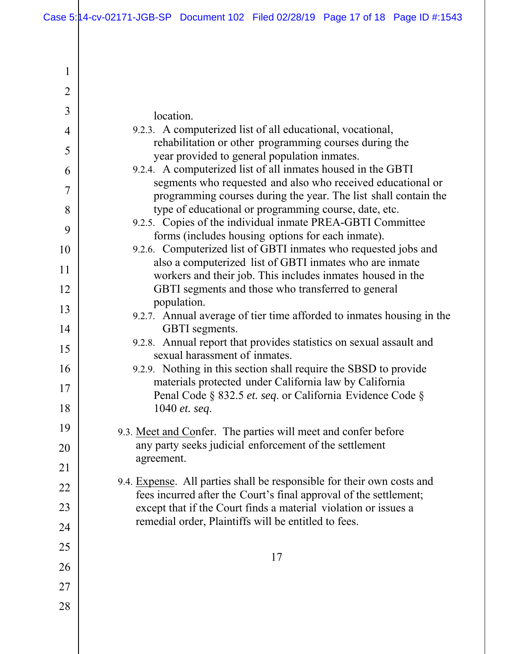| $\mathbf{1}$   |                                                                                                                                             |
|----------------|---------------------------------------------------------------------------------------------------------------------------------------------|
| $\overline{2}$ |                                                                                                                                             |
| $\overline{3}$ | location.                                                                                                                                   |
| $\overline{4}$ | 9.2.3. A computerized list of all educational, vocational,                                                                                  |
| 5              | rehabilitation or other programming courses during the<br>year provided to general population inmates.                                      |
| 6              | 9.2.4. A computerized list of all inmates housed in the GBTI                                                                                |
| 7              | segments who requested and also who received educational or<br>programming courses during the year. The list shall contain the              |
| 8              | type of educational or programming course, date, etc.                                                                                       |
| 9              | 9.2.5. Copies of the individual inmate PREA-GBTI Committee<br>forms (includes housing options for each inmate).                             |
| 10             | 9.2.6. Computerized list of GBTI inmates who requested jobs and                                                                             |
| 11             | also a computerized list of GBTI inmates who are inmate<br>workers and their job. This includes inmates housed in the                       |
| 12             | GBTI segments and those who transferred to general                                                                                          |
| 13             | population.                                                                                                                                 |
| 14             | 9.2.7. Annual average of tier time afforded to inmates housing in the<br>GBTI segments.                                                     |
| 15             | 9.2.8. Annual report that provides statistics on sexual assault and<br>sexual harassment of inmates.                                        |
| 16             | 9.2.9. Nothing in this section shall require the SBSD to provide                                                                            |
| 17             | materials protected under California law by California                                                                                      |
| 18             | Penal Code § 832.5 et. seq. or California Evidence Code §<br>1040 et. seq.                                                                  |
|                |                                                                                                                                             |
| 19             | 9.3. Meet and Confer. The parties will meet and confer before                                                                               |
| 20             | any party seeks judicial enforcement of the settlement<br>agreement.                                                                        |
| 21             |                                                                                                                                             |
| 22             | 9.4. Expense. All parties shall be responsible for their own costs and<br>fees incurred after the Court's final approval of the settlement; |
| 23             | except that if the Court finds a material violation or issues a                                                                             |
| 24             | remedial order, Plaintiffs will be entitled to fees.                                                                                        |
| 25             |                                                                                                                                             |
| 26             | 17                                                                                                                                          |
| 27             |                                                                                                                                             |
| 28             |                                                                                                                                             |
|                |                                                                                                                                             |